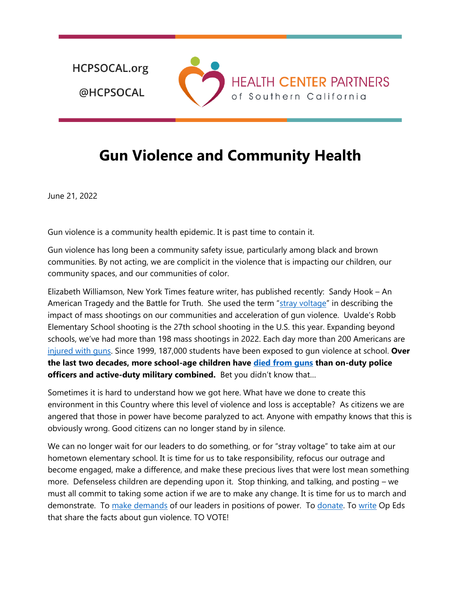**HCPSOCAL.org** @HCPSOCAL



## **Gun Violence and Community Health**

June 21, 2022

Gun violence is a community health epidemic. It is past time to contain it.

Gun violence has long been a community safety issue, particularly among black and brown communities. By not acting, we are complicit in the violence that is impacting our children, our community spaces, and our communities of color.

Elizabeth Williamson, New York Times feature writer, has published recently: Sandy Hook – An American Tragedy and the Battle for Truth. She used the term "[stray voltage](https://www.pbs.org/newshour/show/communities-affected-by-mass-shootings-face-reverberating-loss-in-the-years-ahead)" in describing the impact of mass shootings on our communities and acceleration of gun violence. Uvalde's Robb Elementary School shooting is the 27th school shooting in the U.S. this year. Expanding beyond schools, we've had more than 198 mass shootings in 2022. Each day more than 200 Americans are [injured with guns.](https://everytownresearch.org/report/nonfatals-in-the-us/) Since 1999, 187,000 students have been exposed to gun violence at school. **Over the last two decades, more school-age children have [died from guns](https://www.arnoldventures.org/stories/responding-to-tragedy-with-evidence-and-advocacy) than on-duty police officers and active-duty military combined.** Bet you didn't know that…

Sometimes it is hard to understand how we got here. What have we done to create this environment in this Country where this level of violence and loss is acceptable? As citizens we are angered that those in power have become paralyzed to act. Anyone with empathy knows that this is obviously wrong. Good citizens can no longer stand by in silence.

We can no longer wait for our leaders to do something, or for "stray voltage" to take aim at our hometown elementary school. It is time for us to take responsibility, refocus our outrage and become engaged, make a difference, and make these precious lives that were lost mean something more. Defenseless children are depending upon it. Stop thinking, and talking, and posting – we must all commit to taking some action if we are to make any change. It is time for us to march and demonstrate. To [make demands](https://www.apha.org/Policies-and-Advocacy/Advocacy-for-Public-Health/Action-Alerts/background-checks) of our leaders in positions of power. To [donate.](https://www.ncgvr.org/) To [write](https://www.sandiegouniontribune.com/opinion/commentary/story/2022-06-15/school-shooting-safety) Op Eds that share the facts about gun violence. TO VOTE!